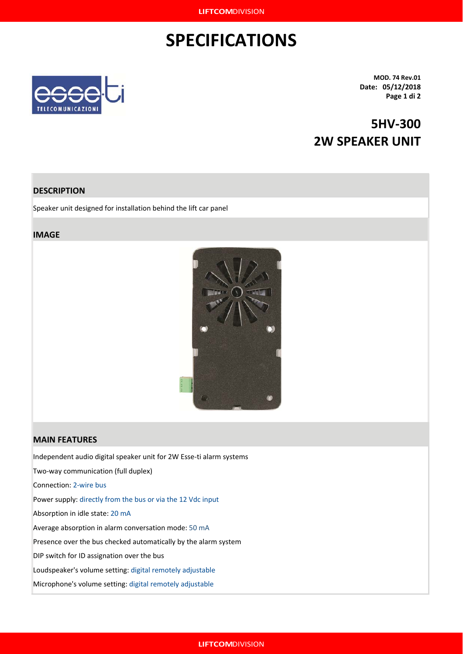## **SPECIFICATIONS**



**MOD. 74 Rev.01 Date: 05/12/2018 Page 1 di 2**

## **5HV-300 2W SPEAKER UNIT**

### **DESCRIPTION**

Speaker unit designed for installation behind the lift car panel

#### **IMAGE**



#### **MAIN FEATURES**

Independent audio digital speaker unit for 2W Esse-ti alarm systems

Two-way communication (full duplex)

Connection: 2-wire bus

Power supply: directly from the bus or via the 12 Vdc input

Absorption in idle state: 20 mA

Average absorption in alarm conversation mode: 50 mA

Presence over the bus checked automatically by the alarm system

DIP switch for ID assignation over the bus

Loudspeaker's volume setting: digital remotely adjustable

Microphone's volume setting: digital remotely adjustable